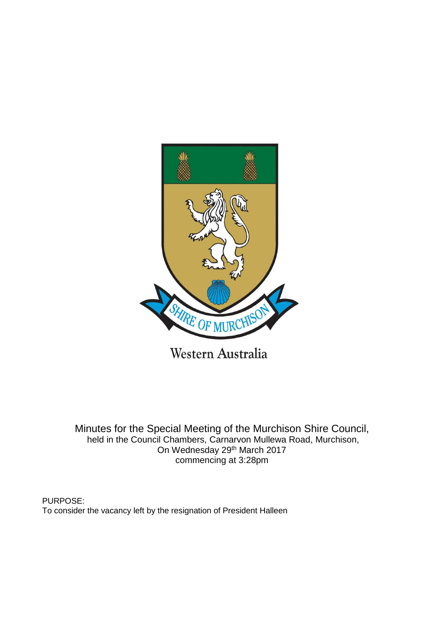

Western Australia

Minutes for the Special Meeting of the Murchison Shire Council, held in the Council Chambers, Carnarvon Mullewa Road, Murchison, On Wednesday 29th March 2017 commencing at 3:28pm

PURPOSE: To consider the vacancy left by the resignation of President Halleen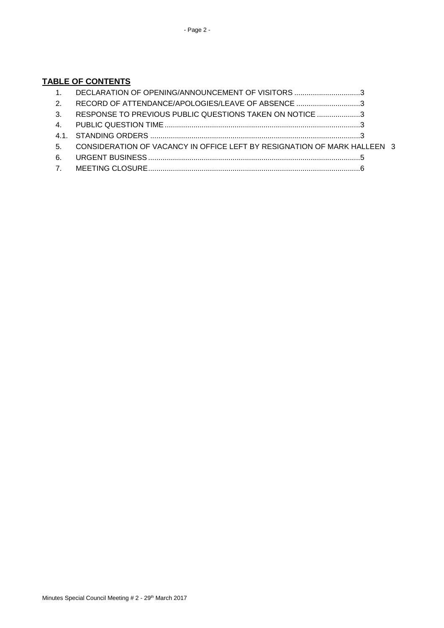# **TABLE OF CONTENTS**

| $\overline{1}$   | DECLARATION OF OPENING/ANNOUNCEMENT OF VISITORS 3                        |  |
|------------------|--------------------------------------------------------------------------|--|
| 2.               | RECORD OF ATTENDANCE/APOLOGIES/LEAVE OF ABSENCE 3                        |  |
| $\mathbf{3}$     | RESPONSE TO PREVIOUS PUBLIC QUESTIONS TAKEN ON NOTICE 3                  |  |
|                  |                                                                          |  |
|                  |                                                                          |  |
| 5.               | CONSIDERATION OF VACANCY IN OFFICE LEFT BY RESIGNATION OF MARK HALLEEN 3 |  |
| 6.               |                                                                          |  |
| $\overline{7}$ . |                                                                          |  |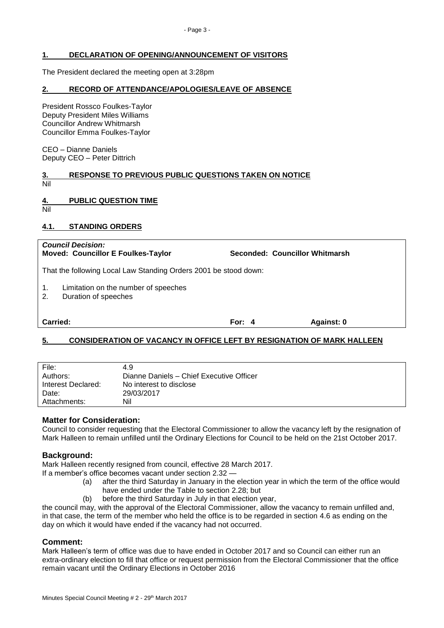## <span id="page-2-0"></span>**1. DECLARATION OF OPENING/ANNOUNCEMENT OF VISITORS**

The President declared the meeting open at 3:28pm

### <span id="page-2-1"></span>**2. RECORD OF ATTENDANCE/APOLOGIES/LEAVE OF ABSENCE**

President Rossco Foulkes-Taylor Deputy President Miles Williams Councillor Andrew Whitmarsh Councillor Emma Foulkes-Taylor

CEO – Dianne Daniels Deputy CEO – Peter Dittrich

<span id="page-2-2"></span>

| 3.  | <b>RESPONSE TO PREVIOUS PUBLIC QUESTIONS TAKEN ON NOTICE</b> |
|-----|--------------------------------------------------------------|
| Nil |                                                              |

### <span id="page-2-3"></span>**4. PUBLIC QUESTION TIME**

Nil

### <span id="page-2-4"></span>**4.1. STANDING ORDERS**

| <b>Council Decision:</b><br><b>Moved: Councillor E Foulkes-Taylor</b>    |          | Seconded: Councillor Whitmarsh |  |  |  |  |
|--------------------------------------------------------------------------|----------|--------------------------------|--|--|--|--|
| That the following Local Law Standing Orders 2001 be stood down:         |          |                                |  |  |  |  |
| 1.<br>Limitation on the number of speeches<br>Duration of speeches<br>2. |          |                                |  |  |  |  |
| Carried:                                                                 | For: $4$ | Against: 0                     |  |  |  |  |
|                                                                          |          |                                |  |  |  |  |

## <span id="page-2-5"></span>**5. CONSIDERATION OF VACANCY IN OFFICE LEFT BY RESIGNATION OF MARK HALLEEN**

| File:              | 4.9                                      |
|--------------------|------------------------------------------|
| Authors:           | Dianne Daniels - Chief Executive Officer |
| Interest Declared: | No interest to disclose                  |
| Date:              | 29/03/2017                               |
| Attachments:       | Nil                                      |
|                    |                                          |

## **Matter for Consideration:**

Council to consider requesting that the Electoral Commissioner to allow the vacancy left by the resignation of Mark Halleen to remain unfilled until the Ordinary Elections for Council to be held on the 21st October 2017.

### **Background:**

Mark Halleen recently resigned from council, effective 28 March 2017.

If a member's office becomes vacant under section 2.32 —

- (a) after the third Saturday in January in the election year in which the term of the office would have ended under the Table to section 2.28; but
- (b) before the third Saturday in July in that election year,

the council may, with the approval of the Electoral Commissioner, allow the vacancy to remain unfilled and, in that case, the term of the member who held the office is to be regarded in section 4.6 as ending on the day on which it would have ended if the vacancy had not occurred.

### **Comment:**

Mark Halleen's term of office was due to have ended in October 2017 and so Council can either run an extra-ordinary election to fill that office or request permission from the Electoral Commissioner that the office remain vacant until the Ordinary Elections in October 2016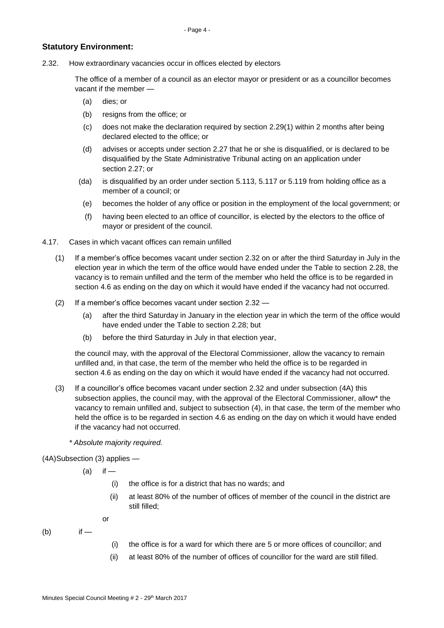# **Statutory Environment:**

2.32. How extraordinary vacancies occur in offices elected by electors

The office of a member of a council as an elector mayor or president or as a councillor becomes vacant if the member —

- (a) dies; or
- (b) resigns from the office; or
- (c) does not make the declaration required by section 2.29(1) within 2 months after being declared elected to the office; or
- (d) advises or accepts under section 2.27 that he or she is disqualified, or is declared to be disqualified by the State Administrative Tribunal acting on an application under section 2.27; or
- (da) is disqualified by an order under section 5.113, 5.117 or 5.119 from holding office as a member of a council; or
- (e) becomes the holder of any office or position in the employment of the local government; or
- (f) having been elected to an office of councillor, is elected by the electors to the office of mayor or president of the council.
- 4.17. Cases in which vacant offices can remain unfilled
	- (1) If a member's office becomes vacant under section 2.32 on or after the third Saturday in July in the election year in which the term of the office would have ended under the Table to section 2.28, the vacancy is to remain unfilled and the term of the member who held the office is to be regarded in section 4.6 as ending on the day on which it would have ended if the vacancy had not occurred.
	- (2) If a member's office becomes vacant under section 2.32
		- (a) after the third Saturday in January in the election year in which the term of the office would have ended under the Table to section 2.28; but
		- (b) before the third Saturday in July in that election year,

the council may, with the approval of the Electoral Commissioner, allow the vacancy to remain unfilled and, in that case, the term of the member who held the office is to be regarded in section 4.6 as ending on the day on which it would have ended if the vacancy had not occurred.

- (3) If a councillor's office becomes vacant under section 2.32 and under subsection (4A) this subsection applies, the council may, with the approval of the Electoral Commissioner, allow\* the vacancy to remain unfilled and, subject to subsection (4), in that case, the term of the member who held the office is to be regarded in section 4.6 as ending on the day on which it would have ended if the vacancy had not occurred.
	- *\* Absolute majority required.*

(4A)Subsection (3) applies —

 $(a)$  if —

- (i) the office is for a district that has no wards; and
- (ii) at least 80% of the number of offices of member of the council in the district are still filled;

or

- $(b)$  if —
- (i) the office is for a ward for which there are 5 or more offices of councillor; and
- (ii) at least 80% of the number of offices of councillor for the ward are still filled.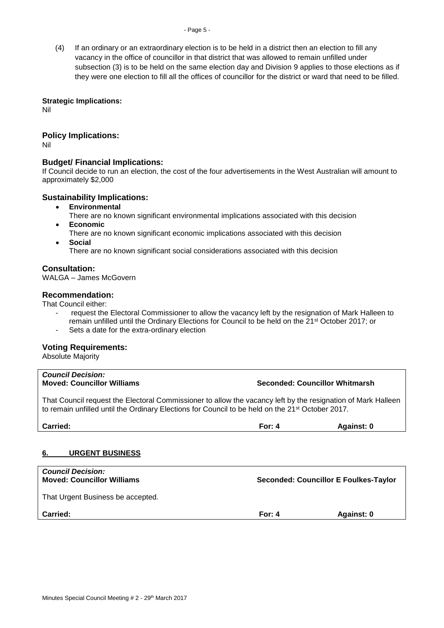#### - Page 5 -

(4) If an ordinary or an extraordinary election is to be held in a district then an election to fill any vacancy in the office of councillor in that district that was allowed to remain unfilled under subsection (3) is to be held on the same election day and Division 9 applies to those elections as if they were one election to fill all the offices of councillor for the district or ward that need to be filled.

### **Strategic Implications:**

Nil

# **Policy Implications:**

Nil

# **Budget/ Financial Implications:**

If Council decide to run an election, the cost of the four advertisements in the West Australian will amount to approximately \$2,000

## **Sustainability Implications:**

- **Environmental**
	- There are no known significant environmental implications associated with this decision
- **Economic**
	- There are no known significant economic implications associated with this decision
- **Social**

There are no known significant social considerations associated with this decision

# **Consultation:**

WALGA – James McGovern

## **Recommendation:**

That Council either:

- request the Electoral Commissioner to allow the vacancy left by the resignation of Mark Halleen to remain unfilled until the Ordinary Elections for Council to be held on the 21st October 2017; or
- Sets a date for the extra-ordinary election

## **Voting Requirements:**

Absolute Majority

<span id="page-4-0"></span>

| <b>Council Decision:</b><br><b>Moved: Councillor Williams</b>                                                                                                                                                                | Seconded: Councillor Whitmarsh               |            |  |  |  |
|------------------------------------------------------------------------------------------------------------------------------------------------------------------------------------------------------------------------------|----------------------------------------------|------------|--|--|--|
| That Council request the Electoral Commissioner to allow the vacancy left by the resignation of Mark Halleen<br>to remain unfilled until the Ordinary Elections for Council to be held on the 21 <sup>st</sup> October 2017. |                                              |            |  |  |  |
| Carried:                                                                                                                                                                                                                     | For: $4$                                     | Against: 0 |  |  |  |
| <b>URGENT BUSINESS</b><br>6.                                                                                                                                                                                                 |                                              |            |  |  |  |
| <b>Council Decision:</b><br><b>Moved: Councillor Williams</b>                                                                                                                                                                | <b>Seconded: Councillor E Foulkes-Taylor</b> |            |  |  |  |
| That Urgent Business be accepted.                                                                                                                                                                                            |                                              |            |  |  |  |
| <b>Carried:</b>                                                                                                                                                                                                              | For: $4$                                     | Against: 0 |  |  |  |